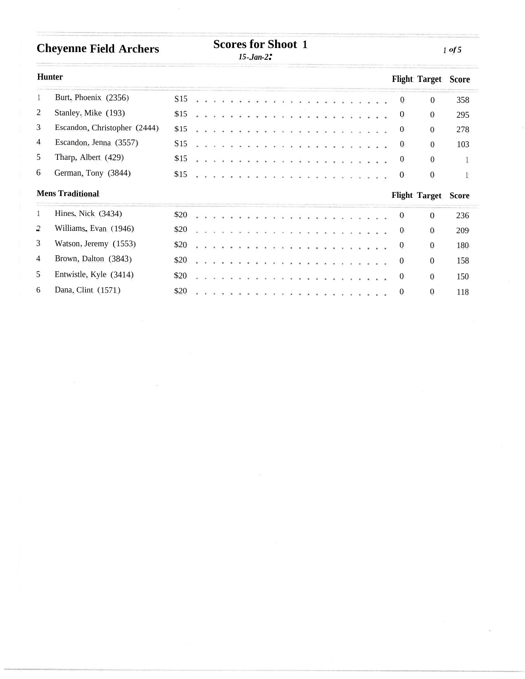## **Cheyenne Field Archers Scores for Shoot** 1

## **Scores for Shoot 1**

*15-.Jan-2:*

|                | Hunter                       |                 |  |  |   |  |  |  |                                              |  |   |  |  |  |                  | <b>Flight Target Score</b> |     |
|----------------|------------------------------|-----------------|--|--|---|--|--|--|----------------------------------------------|--|---|--|--|--|------------------|----------------------------|-----|
| $\mathbf{1}$   | Burt, Phoenix (2356)         | S <sub>15</sub> |  |  |   |  |  |  |                                              |  |   |  |  |  | $\boldsymbol{0}$ | $\mathbf{0}$               | 358 |
| 2              | Stanley, Mike (193)          | \$15            |  |  |   |  |  |  |                                              |  |   |  |  |  | 0                | $\overline{0}$             | 295 |
| 3              | Escandon, Christopher (2444) | \$15            |  |  | . |  |  |  |                                              |  | . |  |  |  | $\theta$         | $\overline{0}$             | 278 |
| $\overline{4}$ | Escandon, Jenna (3557)       | S <sub>15</sub> |  |  |   |  |  |  | ki kilometra ya kuma ya kuma ya kuma ya kuma |  |   |  |  |  | $\theta$         | $\Omega$                   | 103 |
| 5              | Tharp, Albert (429)          | \$15            |  |  |   |  |  |  | <b>************************</b>              |  |   |  |  |  | $\theta$         | $\Omega$                   |     |
| 6              | German, Tony (3844)          | \$15            |  |  |   |  |  |  |                                              |  |   |  |  |  | $\bf{0}$         | $\boldsymbol{0}$           |     |
|                | <b>Mens Traditional</b>      |                 |  |  |   |  |  |  |                                              |  |   |  |  |  |                  | <b>Flight Target Score</b> |     |
| $\mathbf{1}$   | Hines, Nick (3434)           | \$20            |  |  |   |  |  |  |                                              |  |   |  |  |  | $\theta$         | $\Omega$                   | 236 |
| $\overline{2}$ | Williams, Evan (1946)        | \$20            |  |  |   |  |  |  |                                              |  |   |  |  |  | $\theta$         | $\overline{0}$             | 209 |
| 3              | Watson, Jeremy (1553)        | \$20            |  |  |   |  |  |  |                                              |  |   |  |  |  | $\theta$         | $\theta$                   | 180 |
| $\overline{4}$ | Brown, Dalton (3843)         | \$20            |  |  |   |  |  |  |                                              |  |   |  |  |  | $\theta$         | $\overline{0}$             | 158 |
| 5              | Entwistle, Kyle (3414)       | \$20            |  |  |   |  |  |  |                                              |  |   |  |  |  | $\bf{0}$         | $\overline{0}$             | 150 |
| 6              | Dana, Clint (1571)           | \$20            |  |  |   |  |  |  |                                              |  |   |  |  |  | $\theta$         | $\overline{0}$             | 118 |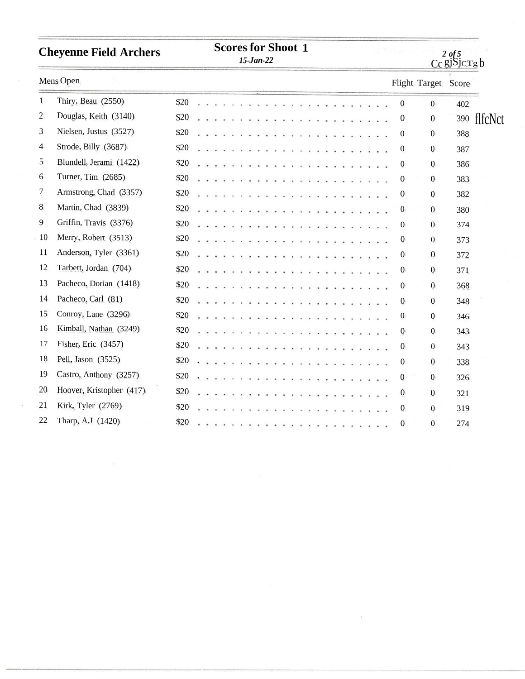| <b>Cheyenne Field Archers</b> | <b>Scores for Shoot 1</b><br>$15$ -Jan-22 |                 |                      |                 |  |  |  |  |                                                                                                                                                                                                                                                                                                                                                                                                                              |  |  |                      |  |                                                                                                                                                                                                                                    |  | <b>START START START</b> |            | $2$ of 5<br>$Cc$ gj $Sjcrgb$ |  |  |                  |                     |     |             |
|-------------------------------|-------------------------------------------|-----------------|----------------------|-----------------|--|--|--|--|------------------------------------------------------------------------------------------------------------------------------------------------------------------------------------------------------------------------------------------------------------------------------------------------------------------------------------------------------------------------------------------------------------------------------|--|--|----------------------|--|------------------------------------------------------------------------------------------------------------------------------------------------------------------------------------------------------------------------------------|--|--------------------------|------------|------------------------------|--|--|------------------|---------------------|-----|-------------|
|                               | Mens Open                                 |                 |                      |                 |  |  |  |  |                                                                                                                                                                                                                                                                                                                                                                                                                              |  |  |                      |  |                                                                                                                                                                                                                                    |  |                          |            |                              |  |  |                  | Flight Target Score |     |             |
| $\mathbf{1}$                  | Thiry, Beau (2550)                        | \$20            |                      |                 |  |  |  |  |                                                                                                                                                                                                                                                                                                                                                                                                                              |  |  |                      |  |                                                                                                                                                                                                                                    |  |                          |            |                              |  |  | $\mathbf{0}$     | $\boldsymbol{0}$    | 402 |             |
| $\overline{c}$                | Douglas, Keith (3140)                     | S <sub>20</sub> | $\ddot{\phantom{0}}$ |                 |  |  |  |  |                                                                                                                                                                                                                                                                                                                                                                                                                              |  |  |                      |  |                                                                                                                                                                                                                                    |  |                          |            |                              |  |  | $\boldsymbol{0}$ | $\boldsymbol{0}$    |     | 390 flfcNct |
| 3                             | Nielsen, Justus (3527)                    | \$20            | à.                   |                 |  |  |  |  | $\cdot$ $\cdot$ $\cdot$ $\cdot$                                                                                                                                                                                                                                                                                                                                                                                              |  |  |                      |  |                                                                                                                                                                                                                                    |  |                          |            |                              |  |  | $\boldsymbol{0}$ | $\mathbf{0}$        | 388 |             |
| $\overline{4}$                | Strode, Billy (3687)                      | \$20            |                      |                 |  |  |  |  | $\cdot$ $\cdot$ $\cdot$                                                                                                                                                                                                                                                                                                                                                                                                      |  |  |                      |  |                                                                                                                                                                                                                                    |  |                          |            |                              |  |  | $\boldsymbol{0}$ | $\mathbf{0}$        | 387 |             |
| 5                             | Blundell, Jerami (1422)                   | \$20            |                      |                 |  |  |  |  |                                                                                                                                                                                                                                                                                                                                                                                                                              |  |  |                      |  |                                                                                                                                                                                                                                    |  |                          |            |                              |  |  | $\bf{0}$         | $\mathbf{0}$        | 386 |             |
| 6                             | Turner, Tim (2685)                        | \$20            |                      |                 |  |  |  |  | .                                                                                                                                                                                                                                                                                                                                                                                                                            |  |  | $\bullet$            |  |                                                                                                                                                                                                                                    |  |                          |            |                              |  |  | $\boldsymbol{0}$ | $\mathbf{0}$        | 383 |             |
| 7                             | Armstrong, Chad (3357)                    | \$20            |                      |                 |  |  |  |  | $\mathbf{v} = \mathbf{v} + \mathbf{v} + \mathbf{v} + \mathbf{v} + \mathbf{v} + \mathbf{v} + \mathbf{v} + \mathbf{v} + \mathbf{v} + \mathbf{v} + \mathbf{v} + \mathbf{v} + \mathbf{v} + \mathbf{v} + \mathbf{v} + \mathbf{v} + \mathbf{v} + \mathbf{v} + \mathbf{v} + \mathbf{v} + \mathbf{v} + \mathbf{v} + \mathbf{v} + \mathbf{v} + \mathbf{v} + \mathbf{v} + \mathbf{v} + \mathbf{v} + \mathbf{v} + \mathbf{v} + \mathbf$ |  |  |                      |  |                                                                                                                                                                                                                                    |  |                          |            |                              |  |  | $\mathbf 0$      | $\mathbf{0}$        | 382 |             |
| 8                             | Martin, Chad (3839)                       | \$20            |                      |                 |  |  |  |  | .                                                                                                                                                                                                                                                                                                                                                                                                                            |  |  |                      |  | <b><i><u>A. A. A. A. A. A. A. A.</u></i></b>                                                                                                                                                                                       |  |                          |            |                              |  |  | $\boldsymbol{0}$ | $\mathbf{0}$        | 380 |             |
| 9                             | Griffin, Travis (3376)                    | \$20            |                      |                 |  |  |  |  | $\begin{array}{cccccccccccccc} \bullet & \bullet & \bullet & \bullet & \bullet & \bullet & \bullet & \bullet \end{array}$                                                                                                                                                                                                                                                                                                    |  |  |                      |  |                                                                                                                                                                                                                                    |  |                          |            |                              |  |  | $\boldsymbol{0}$ | $\mathbf{0}$        | 374 |             |
| 10                            | Merry, Robert (3513)                      | \$20            |                      | $\sim$          |  |  |  |  | $\cdots$                                                                                                                                                                                                                                                                                                                                                                                                                     |  |  |                      |  |                                                                                                                                                                                                                                    |  |                          |            |                              |  |  | $\boldsymbol{0}$ | $\boldsymbol{0}$    | 373 |             |
| 11                            | Anderson, Tyler (3361)                    | \$20            |                      | $\cdot$ $\cdot$ |  |  |  |  | . <i>.</i>                                                                                                                                                                                                                                                                                                                                                                                                                   |  |  | $\bullet$            |  |                                                                                                                                                                                                                                    |  |                          |            |                              |  |  | $\bf{0}$         | $\mathbf{0}$        | 372 |             |
| 12                            | Tarbett, Jordan (704)                     | \$20            |                      |                 |  |  |  |  |                                                                                                                                                                                                                                                                                                                                                                                                                              |  |  |                      |  |                                                                                                                                                                                                                                    |  |                          |            |                              |  |  | $\bf{0}$         | $\boldsymbol{0}$    | 371 |             |
| 13                            | Pacheco, Dorian (1418)                    | \$20            |                      |                 |  |  |  |  | $\cdots$                                                                                                                                                                                                                                                                                                                                                                                                                     |  |  |                      |  | m.                                                                                                                                                                                                                                 |  |                          | $\cdots$   |                              |  |  | $\boldsymbol{0}$ | $\boldsymbol{0}$    | 368 |             |
| 14                            | Pacheco, Carl (81)                        | \$20            |                      | $\sim$          |  |  |  |  | .                                                                                                                                                                                                                                                                                                                                                                                                                            |  |  |                      |  | $\ddots$                                                                                                                                                                                                                           |  |                          | $\sim$     | S.                           |  |  | $\boldsymbol{0}$ | $\boldsymbol{0}$    | 348 |             |
| 15                            | Conroy, Lane (3296)                       | \$20            |                      |                 |  |  |  |  | $\cdots$                                                                                                                                                                                                                                                                                                                                                                                                                     |  |  |                      |  |                                                                                                                                                                                                                                    |  |                          |            |                              |  |  | $\bf{0}$         | $\overline{0}$      | 346 |             |
| 16                            | Kimball, Nathan (3249)                    | \$20            |                      |                 |  |  |  |  | .                                                                                                                                                                                                                                                                                                                                                                                                                            |  |  |                      |  |                                                                                                                                                                                                                                    |  |                          | . <i>.</i> |                              |  |  | $\boldsymbol{0}$ | $\mathbf{0}$        | 343 |             |
| 17                            | Fisher, Eric (3457)                       | \$20            |                      |                 |  |  |  |  | .                                                                                                                                                                                                                                                                                                                                                                                                                            |  |  |                      |  |                                                                                                                                                                                                                                    |  |                          | .          |                              |  |  | $\boldsymbol{0}$ | $\mathbf{0}$        | 343 |             |
| 18                            | Pell, Jason (3525)                        | \$20            |                      |                 |  |  |  |  | .                                                                                                                                                                                                                                                                                                                                                                                                                            |  |  |                      |  | $\mathcal{A}$ , where the contract of the contract of the contract of the contract of the contract of the contract of the contract of the contract of the contract of the contract of the contract of the contract of the contract |  |                          |            |                              |  |  | $\boldsymbol{0}$ | $\mathbf{0}$        | 338 |             |
| 19                            | Castro, Anthony (3257)                    | \$20            |                      |                 |  |  |  |  |                                                                                                                                                                                                                                                                                                                                                                                                                              |  |  | . <i>.</i>           |  |                                                                                                                                                                                                                                    |  |                          |            |                              |  |  | $\boldsymbol{0}$ | $\overline{0}$      | 326 |             |
| 20                            | Hoover, Kristopher (417)                  | \$20            |                      |                 |  |  |  |  | .                                                                                                                                                                                                                                                                                                                                                                                                                            |  |  | $\ddot{\phantom{1}}$ |  |                                                                                                                                                                                                                                    |  |                          |            |                              |  |  | $\boldsymbol{0}$ | $\overline{0}$      | 321 |             |
| 21                            | Kirk, Tyler (2769)                        | \$20            |                      |                 |  |  |  |  |                                                                                                                                                                                                                                                                                                                                                                                                                              |  |  |                      |  |                                                                                                                                                                                                                                    |  |                          | $\cdots$   |                              |  |  | $\boldsymbol{0}$ | $\mathbf{0}$        | 319 |             |
| 22                            | Tharp, A.J (1420)                         | \$20            |                      |                 |  |  |  |  |                                                                                                                                                                                                                                                                                                                                                                                                                              |  |  |                      |  |                                                                                                                                                                                                                                    |  |                          |            |                              |  |  | $\mathbf{0}$     | $\mathbf{0}$        | 274 |             |

 $\mathcal{A}$  .

 $\mathbb{R}^{N}$  . <br> <br> :  $\mathbb{R}^{N}$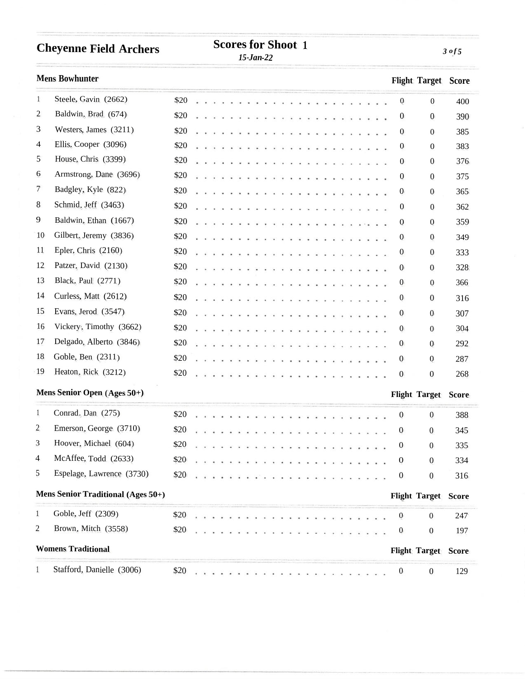| <b>Cheyenne Field Archers</b> | <b>SCOLES IQL SHOOL</b> |  |
|-------------------------------|-------------------------|--|
|                               |                         |  |

**Scores for Shoot 1**

*15-Jan-22*

**Mens Bowhunter Flight Target Score** 1 Steele, Gavin (2662) 2 Baldwin, Brad (674) 3 Westers, James (3211) <sup>4</sup> Ellis, Cooper (3096) 5 House, Chris (3399) <sup>6</sup> Armstrong, Dane (3696) 7 Badgley, Kyle (822) 8 Schmid, Jeff (3463) 9 Baldwin, Ethan (1667) 10 Gilbert, Jeremy (3836) 11 Epler, Chris (2160) 12 Patzer, David (2130) 13 Black, Paul (2771) 14 Curless, Matt (2612) 15 Evans, Jerod (3547) 16 Vickery, Timothy (3662) 17 Delgado, Alberto (3846) 18 Goble, Ben (2311) 19 Heaton, Rick (3212) \$20 0 0 400 \$20 0 0 390  $$20$  0 385  $$20$  0 0 383 \$20 0 0 376  $$20$  0 0 375 \$20 0 0 365 \$20 0 0 362 \$20 0 0 359  $$20$  0 0 349 \$20 0 0 333 \$20 0 0 328 \$20 0 0 366 \$20 0 0 316  $$20$  0 0 307 \$20 0 0 304 \$20 0 0 292 \$20 0 0 287 \$20 0 0 268 **Mens Senior Open (Ages <sup>50</sup>+) Flight Target Score** 1 Conrad, Dan (275) 2 Emerson, George (3710) 3 Hoover, Michael (604) 4 McAffee, Todd (2633) 5 Espelage, Lawrence (3730) \$20 0 0 388 \$20 0 0 345  $$20$  0 0 335 \$20 0 0 334  $$20$  0 0 316 **Mens Senior Traditional (Ages <sup>50</sup>+) Flight Target Score** 1 Goble, Jeff (2309) 2 Brown, Mitch (3558) \$20 0 0 247 \$20 0 0 197 **Womens Traditional Flight Target Score** 1 Stafford, Danielle (3006) \$20 0 0 129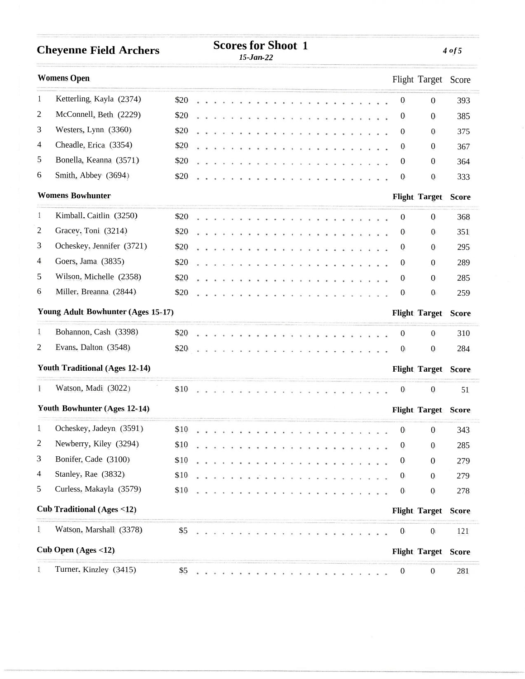|                | <b>Cheyenne Field Archers</b>         | <b>Scores for Shoot 1</b><br>$15$ -Jan- $22$ |  |  |  |                                 |  |  |  |  |  |  |  |  |  |  |  |  | $4$ of $5$ |  |  |                  |                            |              |
|----------------|---------------------------------------|----------------------------------------------|--|--|--|---------------------------------|--|--|--|--|--|--|--|--|--|--|--|--|------------|--|--|------------------|----------------------------|--------------|
|                | <b>Womens Open</b>                    |                                              |  |  |  |                                 |  |  |  |  |  |  |  |  |  |  |  |  |            |  |  |                  | Flight Target Score        |              |
| 1              | Ketterling, Kayla (2374)              | \$20                                         |  |  |  |                                 |  |  |  |  |  |  |  |  |  |  |  |  |            |  |  | $\mathbf{0}$     | $\mathbf{0}$               | 393          |
| 2              | McConnell, Beth (2229)                | \$20                                         |  |  |  |                                 |  |  |  |  |  |  |  |  |  |  |  |  |            |  |  | $\mathbf{0}$     | $\theta$                   | 385          |
| 3              | Westers, Lynn (3360)                  | \$20                                         |  |  |  |                                 |  |  |  |  |  |  |  |  |  |  |  |  |            |  |  | $\mathbf{0}$     | $\overline{0}$             | 375          |
| 4              | Cheadle, Erica (3354)                 | \$20                                         |  |  |  |                                 |  |  |  |  |  |  |  |  |  |  |  |  |            |  |  | $\theta$         | $\theta$                   | 367          |
| 5              | Bonella, Keanna (3571)                | \$20                                         |  |  |  |                                 |  |  |  |  |  |  |  |  |  |  |  |  |            |  |  | $\theta$         | $\theta$                   | 364          |
| 6              | Smith, Abbey (3694)                   | \$20                                         |  |  |  |                                 |  |  |  |  |  |  |  |  |  |  |  |  |            |  |  | $\bf{0}$         | $\mathbf{0}$               | 333          |
|                | <b>Womens Bowhunter</b>               |                                              |  |  |  |                                 |  |  |  |  |  |  |  |  |  |  |  |  |            |  |  |                  | <b>Flight Target</b>       | <b>Score</b> |
| $\mathbf{1}$   | Kimball, Caitlin (3250)               | \$20                                         |  |  |  |                                 |  |  |  |  |  |  |  |  |  |  |  |  |            |  |  | $\mathbf{0}$     | $\overline{0}$             | 368          |
| 2              | Gracey, Toni (3214)                   | \$20                                         |  |  |  |                                 |  |  |  |  |  |  |  |  |  |  |  |  |            |  |  | $\theta$         | $\theta$                   | 351          |
| 3              | Ocheskey, Jennifer (3721)             | \$20                                         |  |  |  |                                 |  |  |  |  |  |  |  |  |  |  |  |  |            |  |  | $\mathbf{0}$     | $\mathbf{0}$               | 295          |
| 4              | Goers, Jama (3835)                    | \$20                                         |  |  |  |                                 |  |  |  |  |  |  |  |  |  |  |  |  |            |  |  | $\boldsymbol{0}$ | $\mathbf{0}$               | 289          |
| 5              | Wilson, Michelle (2358)               | \$20                                         |  |  |  |                                 |  |  |  |  |  |  |  |  |  |  |  |  |            |  |  | $\theta$         | 0                          | 285          |
| 6              | Miller, Breanna (2844)                | \$20                                         |  |  |  |                                 |  |  |  |  |  |  |  |  |  |  |  |  |            |  |  | $\boldsymbol{0}$ | $\mathbf{0}$               | 259          |
|                | Young Adult Bowhunter (Ages 15-17)    |                                              |  |  |  |                                 |  |  |  |  |  |  |  |  |  |  |  |  |            |  |  |                  | <b>Flight Target Score</b> |              |
| $\mathbf{1}$   | Bohannon, Cash (3398)                 | \$20                                         |  |  |  |                                 |  |  |  |  |  |  |  |  |  |  |  |  |            |  |  | $\bf{0}$         | $\mathbf{0}$               | 310          |
| 2              | Evans. Dalton (3548)                  | \$20                                         |  |  |  |                                 |  |  |  |  |  |  |  |  |  |  |  |  |            |  |  | $\bf{0}$         | $\mathbf{0}$               | 284          |
|                | <b>Youth Traditional (Ages 12-14)</b> |                                              |  |  |  |                                 |  |  |  |  |  |  |  |  |  |  |  |  |            |  |  |                  | <b>Flight Target Score</b> |              |
|                | Watson, Madi (3022)                   | \$10                                         |  |  |  |                                 |  |  |  |  |  |  |  |  |  |  |  |  |            |  |  | $\mathbf{0}$     | $\boldsymbol{0}$           | 51           |
|                | Youth Bowhunter (Ages 12-14)          |                                              |  |  |  |                                 |  |  |  |  |  |  |  |  |  |  |  |  |            |  |  |                  | <b>Flight Target Score</b> |              |
| $\mathbf{1}$   | Ocheskey, Jadeyn (3591)               | \$10                                         |  |  |  |                                 |  |  |  |  |  |  |  |  |  |  |  |  |            |  |  | $\boldsymbol{0}$ | $\bf{0}$                   | 343          |
| $\overline{c}$ | Newberry, Kiley (3294)                | \$10                                         |  |  |  | <b>************************</b> |  |  |  |  |  |  |  |  |  |  |  |  |            |  |  | $\mathbf{0}$     | $\boldsymbol{0}$           | 285          |
| 3              | Bonifer, Cade (3100)                  | \$10                                         |  |  |  |                                 |  |  |  |  |  |  |  |  |  |  |  |  |            |  |  | $\boldsymbol{0}$ | $\mathbf{0}$               | 279          |
| 4              | Stanley, Rae (3832)                   |                                              |  |  |  |                                 |  |  |  |  |  |  |  |  |  |  |  |  |            |  |  | $\bf{0}$         | $\mathbf{0}$               | 279          |
| 5              | Curless, Makayla (3579)               | \$10                                         |  |  |  |                                 |  |  |  |  |  |  |  |  |  |  |  |  |            |  |  | $\mathbf{0}$     | $\boldsymbol{0}$           | 278          |
|                | <b>Cub Traditional (Ages &lt;12)</b>  |                                              |  |  |  |                                 |  |  |  |  |  |  |  |  |  |  |  |  |            |  |  |                  | <b>Flight Target</b>       | <b>Score</b> |
| $\mathbf{1}$   | Watson, Marshall (3378)               |                                              |  |  |  |                                 |  |  |  |  |  |  |  |  |  |  |  |  |            |  |  | $\boldsymbol{0}$ | $\bf{0}$                   | 121          |
|                | Cub Open $(Ages < 12)$                |                                              |  |  |  |                                 |  |  |  |  |  |  |  |  |  |  |  |  |            |  |  |                  | <b>Flight Target Score</b> |              |
|                | Turner. Kinzley (3415)                | \$5                                          |  |  |  |                                 |  |  |  |  |  |  |  |  |  |  |  |  |            |  |  | $\bf{0}$         | $\bf{0}$                   | 281          |